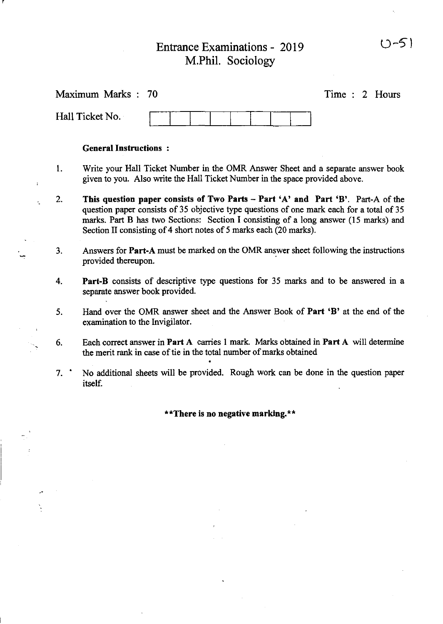# Entrance Examinations - 2019 M.Phil. Sociology

r

 $\ddot{\cdot}$ 

k.

 $\boldsymbol{\cdot}$ 

 $\ddot{\phantom{0}}$ 

 $\frac{1}{2}$ 

|                                   | Maximum Marks: 70                                                                                                                                                                                                                                                                                                                           |  |                                                                                                                                                                                                                                                                                                                                                                                                                                                             |  |                                                                                                                                                                                                                                  | Time : 2 Hours |  |  |  |  |  |
|-----------------------------------|---------------------------------------------------------------------------------------------------------------------------------------------------------------------------------------------------------------------------------------------------------------------------------------------------------------------------------------------|--|-------------------------------------------------------------------------------------------------------------------------------------------------------------------------------------------------------------------------------------------------------------------------------------------------------------------------------------------------------------------------------------------------------------------------------------------------------------|--|----------------------------------------------------------------------------------------------------------------------------------------------------------------------------------------------------------------------------------|----------------|--|--|--|--|--|
|                                   | Hall Ticket No.                                                                                                                                                                                                                                                                                                                             |  |                                                                                                                                                                                                                                                                                                                                                                                                                                                             |  |                                                                                                                                                                                                                                  |                |  |  |  |  |  |
|                                   | <b>General Instructions:</b>                                                                                                                                                                                                                                                                                                                |  |                                                                                                                                                                                                                                                                                                                                                                                                                                                             |  |                                                                                                                                                                                                                                  |                |  |  |  |  |  |
| 1.                                | Write your Hall Ticket Number in the OMR Answer Sheet and a separate answer book<br>given to you. Also write the Hall Ticket Number in the space provided above.                                                                                                                                                                            |  |                                                                                                                                                                                                                                                                                                                                                                                                                                                             |  |                                                                                                                                                                                                                                  |                |  |  |  |  |  |
| 2.                                | This question paper consists of Two Parts - Part 'A' and Part 'B'. Part-A of the<br>question paper consists of 35 objective type questions of one mark each for a total of 35<br>marks. Part B has two Sections: Section I consisting of a long answer (15 marks) and<br>Section II consisting of 4 short notes of 5 marks each (20 marks). |  |                                                                                                                                                                                                                                                                                                                                                                                                                                                             |  |                                                                                                                                                                                                                                  |                |  |  |  |  |  |
| 3.                                | Answers for Part-A must be marked on the OMR answer sheet following the instructions<br>provided thereupon.                                                                                                                                                                                                                                 |  |                                                                                                                                                                                                                                                                                                                                                                                                                                                             |  |                                                                                                                                                                                                                                  |                |  |  |  |  |  |
| 4.                                | Part-B consists of descriptive type questions for 35 marks and to be answered in a<br>separate answer book provided.                                                                                                                                                                                                                        |  |                                                                                                                                                                                                                                                                                                                                                                                                                                                             |  |                                                                                                                                                                                                                                  |                |  |  |  |  |  |
| 5.                                | Hand over the OMR answer sheet and the Answer Book of Part 'B' at the end of the<br>examination to the Invigilator.                                                                                                                                                                                                                         |  |                                                                                                                                                                                                                                                                                                                                                                                                                                                             |  |                                                                                                                                                                                                                                  |                |  |  |  |  |  |
| 6.                                | Each correct answer in Part A carries 1 mark. Marks obtained in Part A will determine<br>the merit rank in case of tie in the total number of marks obtained                                                                                                                                                                                |  |                                                                                                                                                                                                                                                                                                                                                                                                                                                             |  |                                                                                                                                                                                                                                  |                |  |  |  |  |  |
| 7.                                | No additional sheets will be provided. Rough work can be done in the question paper<br>itself.                                                                                                                                                                                                                                              |  |                                                                                                                                                                                                                                                                                                                                                                                                                                                             |  |                                                                                                                                                                                                                                  |                |  |  |  |  |  |
| **There is no negative marking.** |                                                                                                                                                                                                                                                                                                                                             |  |                                                                                                                                                                                                                                                                                                                                                                                                                                                             |  |                                                                                                                                                                                                                                  |                |  |  |  |  |  |
|                                   |                                                                                                                                                                                                                                                                                                                                             |  | the control of the control of the                                                                                                                                                                                                                                                                                                                                                                                                                           |  |                                                                                                                                                                                                                                  |                |  |  |  |  |  |
|                                   |                                                                                                                                                                                                                                                                                                                                             |  |                                                                                                                                                                                                                                                                                                                                                                                                                                                             |  |                                                                                                                                                                                                                                  |                |  |  |  |  |  |
|                                   | $\mathcal{L}^{\text{max}}_{\text{max}}$ and $\mathcal{L}^{\text{max}}_{\text{max}}$                                                                                                                                                                                                                                                         |  |                                                                                                                                                                                                                                                                                                                                                                                                                                                             |  |                                                                                                                                                                                                                                  |                |  |  |  |  |  |
|                                   |                                                                                                                                                                                                                                                                                                                                             |  | $\mathcal{L}(\mathcal{L}(\mathcal{L}(\mathcal{L}(\mathcal{L}(\mathcal{L}(\mathcal{L}(\mathcal{L}(\mathcal{L}(\mathcal{L}(\mathcal{L}(\mathcal{L}(\mathcal{L}(\mathcal{L}(\mathcal{L}(\mathcal{L}(\mathcal{L}(\mathcal{L}(\mathcal{L}(\mathcal{L}(\mathcal{L}(\mathcal{L}(\mathcal{L}(\mathcal{L}(\mathcal{L}(\mathcal{L}(\mathcal{L}(\mathcal{L}(\mathcal{L}(\mathcal{L}(\mathcal{L}(\mathcal{L}(\mathcal{L}(\mathcal{L}(\mathcal{L}(\mathcal{L}(\mathcal{$ |  | $\mathcal{L}(\mathcal{L}^{\mathcal{L}})$ and $\mathcal{L}(\mathcal{L}^{\mathcal{L}})$ and $\mathcal{L}(\mathcal{L}^{\mathcal{L}})$<br>$\mathcal{L}_{\text{max}}$ and $\mathcal{L}_{\text{max}}$ . The $\mathcal{L}_{\text{max}}$ |                |  |  |  |  |  |
|                                   |                                                                                                                                                                                                                                                                                                                                             |  | $\mathcal{L}(\mathcal{L})$ and $\mathcal{L}(\mathcal{L})$ . The set of $\mathcal{L}(\mathcal{L})$                                                                                                                                                                                                                                                                                                                                                           |  |                                                                                                                                                                                                                                  |                |  |  |  |  |  |

 $\ddot{\phantom{0}}$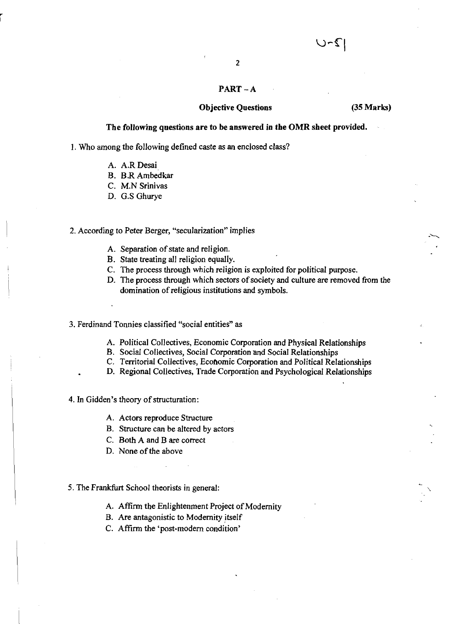# 2

### PART-A

#### Objective Questions (35 Marks)

#### The following questions are to be answered in the OMR sheet provided.

I. Who among the following defined caste as an enclosed class?

- A. A.RDesai
- B. B.RAmbedkar
- C. M.N Srinivas
- D. G.S Ghurye

#### 2. According to Peter Berger, "secularization" implies

- A. Separation of state and religion.
- B. State treating all religion equally.
- C. The process through which religion is exploited for political purpose.
- D. The process through which sectors of society and culture are removed from the domination of religious institutions and symbols.

#### 3. Ferdinand Tonnies classified "social entities" as

- A. Political Collectives, Economic Corporation and Physical Relationships
- B. Social Collectives, Social Corporation and Social Relationships
- C. Territorial Collectives, Ecohomic Corporation and Political Relationships
- D. Regional Collectives, Trade Corporation and Psychological Relationships

#### 4. In Gidden's theory of structuration:

- A. Actors reproduce Structure
- B. Structure can be altered by actors
- C. Both A and B are correct
- D. None of the above

#### 5. The Frankfurt School theorists in general:

- A. Affirm the Enlightenment Project of Modernity
- B. Are antagonistic to Modernity itself
- C. Affirm the 'post-modern condition'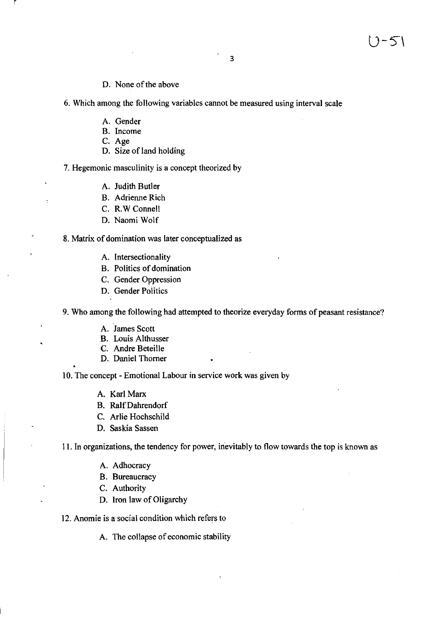- 
- 6. Which among the following variables cannot be measured using interval scale
	- A. Gender
	- B. Income
	- C. Age
	- D. Size of land holding

D. None of the above

7. Hegemonic masculinity is a concept theorized by

- A. Judith Butler
- B. Adrienne Rich
- C. R.W Connell
- D. Naomi Wolf

8. Matrix of domination was later conceptualized as

- A. Intersectionality
- B. Politics of domination
- C. Gender Oppression
- D. Gender Politics

9. Who among the following had attempted to theorize everyday forms of peasant resistance?

- A. James Scott
- B. Louis Althusser
- C. Andre Beteille
- D. Daniel Thorner

10. The concept - Emotional Labour in service work was given by

- A. Karl Marx
- B. RalfDahrendorf
- C. Arlie Hochschild
- D. Saskia Sassen

11. In organizations, the tendency for power, inevitably to flow towards the top is known as

- A. Adhocracy
- B. Bureaucracy
- C. Authority
- D. Iron law of Oligarchy
- 12. Anomie is a social condition which refers to

A. The collapse of economic stability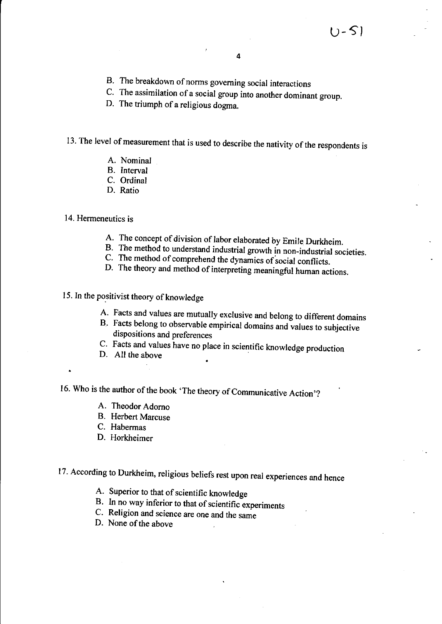- B. The breakdown of norms governing social interactions
- C. The assimilation of a social group into another dominant group.
- D. The triumph of a religious dogma.

# 13. The level of measurement that is used to describe the nativity of the respondents is

- A. Nominal
- B. Interval
- C. Ordinal
- D. Ratio

### 14. Hermeneutics is

- A. The concept of division of labor elaborated by Emile Durkheim.
- B. The method to understand industrial growth in non-industrial societies.
- C. The method of comprehend the dynamics of social conflicts.
- D. The theory and method of interpreting meaningful human actions.
- 15. In the positivist theory of knowledge
	- A. Facts and values are mutually exclusive and belong to different domains
	- B. Facts belong to observable empirical domains and values to subjective dispositions and preferences
	- C. Facts and values have no place in scientific knowledge production
	- D. All the above

16. Who is the author of the book 'The theory of Communicative Action'?

- A. Theodor Adorno
- B. Herbert Marcuse
- C. Habermas
- D. Horkheimer

# 17. According to Durkheim, religious beliefs rest upon real experiences and hence

- A. Superior to that of scientific knowledge
- B. In no way inferior to that of scientific experiments
- C. Religion and science are one and the same
- D. None of the above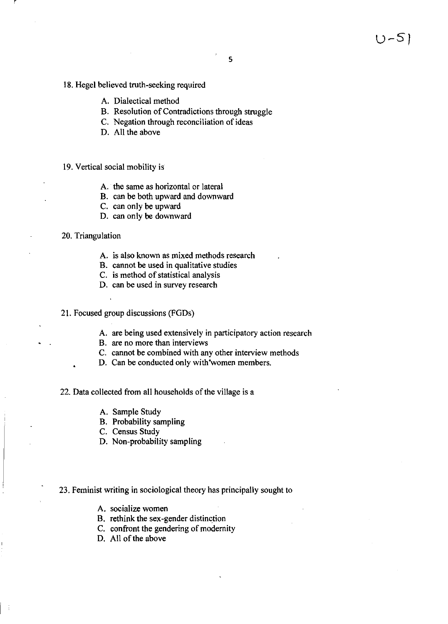- 18. Hegel believed truth-seeking required
	- A. Dialectical method
	- B. Resolution of Contradictions through struggle
	- C. Negation through reconciliation of ideas
	- D. All the above
- 19. Vertical social mobility is
	- A. the same as horizontal or lateral
	- B. can be both upward and downward
	- C. can only be upward
	- D. can only be downward

#### 20. Triangulation

- A. is also known as mixed methods research
- B. cannot be used in qualitative studies
- C. is method of statistical analysis
- D. can be used in survey research

21. Focused group discussions (FGDs)

- A. are being used extensively in participatory action research
- B. are no more than interviews
- C. cannot be combined with any other interview methods
- D. Can be conducted only with 'women members.

#### 22. Data collected from all households of the village is a

- A. Sample Study
- B. Probability sampling
- C. Census Study
- D. Non-probability sampling

#### 23. Feminist writing in sociological theory has principally sought to

- A. socialize women
- B. rethink the sex-gender distinction
- C. confront the gendering of modernity
- D. All of the above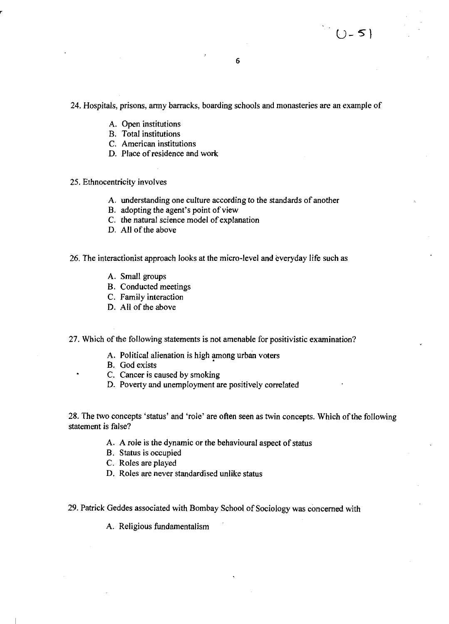#### 24. Hospitals, prisons, army barracks, boarding schools and monasteries are an example of

- A. Open institutions
- B. Total institutions
- C. American institutions
- D. Place of residence and work

#### 25. Ethnocentricity involves

- A. understanding one culture according to the standards of another
- B. adopting the agent's point of view
- C. the natural science model of explanation
- D. All of the above

#### 26. The interactionist approach looks at the micro-level and everyday life such as

- A. Small groups
- B. Conducted meetings
- C. Family interaction
- D. All of the above

27. Which of the following statements is not amenable for positivistic examination?

- A. Political alienation is high among urban voters
- B. God exists
- C. Cancer is caused by smoking
- D. Poverty and unemployment are positively correlated

28. The two concepts 'status' and 'role' are often seen as twin concepts. Which of the following statement is false?

- A. A role is the dynamic or the behavioural aspect of status
- B. Status is occupied
- C. Roles are played
- D. Roles are never standardised unlike status

29. Patrick Geddes associated with Bombay School of Sociology was concerned with

A. Religious fundamentalism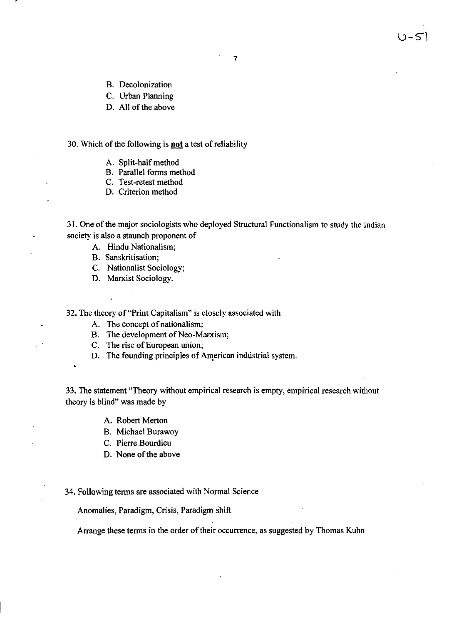- B. Decolonization
- C. Urban Planning
- D. All of the above

#### 30. Which of the following is **not** a test ofreliability

- A. Split-half method
- B. Parallel forms method
- C. Test-retest method
- D. Criterion method

31. One of the major sociologists who deployed Structural Functionalism to study the Indian society is also a staunch proponent of

A. Hindu Nationalism;

- B. Sanskritisation;
- C. Nationalist Sociology;
- D. Marxist Sociology.

32. The theory of "Print Capitalism" is closely associated with

- A. The concept of nationalism;
- B. The development of Neo-Marxism;
- C. The rise of European union;
- D. The founding principles of American industrial system.

33. The statement "Theory without empirical research is empty, empirical research without theory is blind" was made by

- A. Robert Merton
- B. Michael Burawoy
- C. Pierre Bourdieu
- D. None of the above

#### 34. Following terms are associated with Normal Science

Anomalies, Paradigm, Crisis, Paradigm shift

Arrange these terms in the order of their occurrence, as suggested by Thomas Kuhn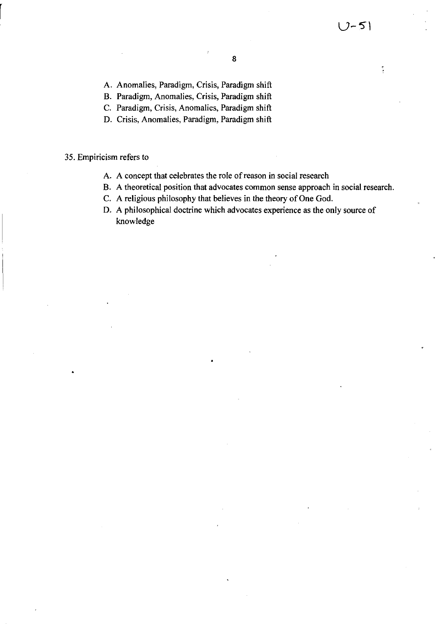Ħ,

A. Anomalies, Paradigm, Crisis, Paradigm shift

B. Paradigm, Anomalies, Crisis, Paradigm shift

C. Paradigm, Crisis, Anomalies, Paradigm shift

D. Crisis, Anomalies, Paradigm, Paradigm shift

#### 35. Empiricism refers to

- A. A concept that celebrates the role of reason in social research
- B. A theoretical position that advocates common sense approach in social research.
- C. A religious philosophy that believes in the theory of One God.
- D. A philosophical doctrine which advocates experience as the only source of knowledge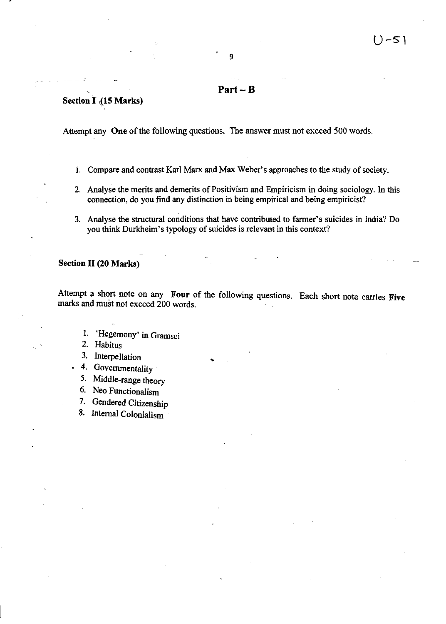### Part-B

9

### Section I (15 Marks)

Attempt any One of the following questions. The answer must not exceed 500 words.

- 1. Compare and contrast Karl Marx and Max Weber's approaches to the study of society.
- 2. Analyse the merits and demerits of Positivism and Empiricism in doing sociology. In this connection, do you find any distinction in being empirical and being empiricist?
- 3. Analyse the structural conditions that have contributed to farmer's suicides in India? Do you think Durkheim's typology of suicides is relevant in this context?

#### Section II (20 Marks)

Attempt a short note on any Four of the following questions. Each short note carries Five marks and must not exceed 200 words.

- I. 'Hegemony' in Gramsci
- 2. Habitus
- 3. Interpellation
- 4. Governmentality
- 5. Middle-range theory
- 6. Neo Functionalism
- 7. Gendered Citizenship
- 8. Internal Colonialism